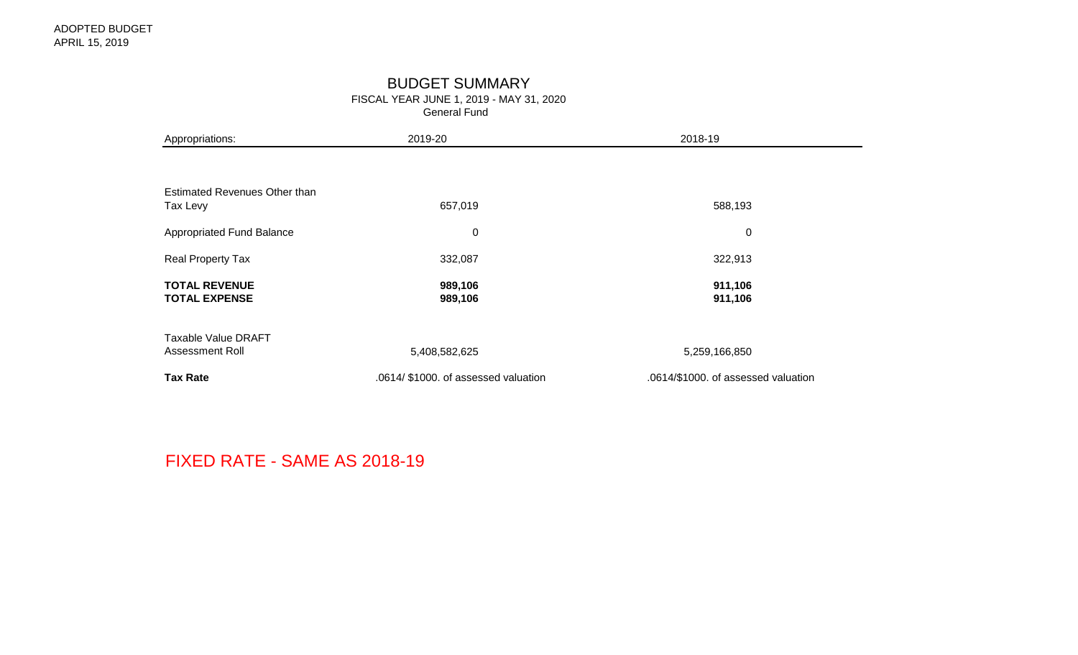# BUDGET SUMMARY

FISCAL YEAR JUNE 1, 2019 - MAY 31, 2020

General Fund

| Appropriations:                               | 2019-20                              | 2018-19                             |
|-----------------------------------------------|--------------------------------------|-------------------------------------|
|                                               |                                      |                                     |
| Estimated Revenues Other than<br>Tax Levy     | 657,019                              | 588,193                             |
| Appropriated Fund Balance                     | $\boldsymbol{0}$                     | $\pmb{0}$                           |
| Real Property Tax                             | 332,087                              | 322,913                             |
| <b>TOTAL REVENUE</b><br><b>TOTAL EXPENSE</b>  | 989,106<br>989,106                   | 911,106<br>911,106                  |
| <b>Taxable Value DRAFT</b><br>Assessment Roll | 5,408,582,625                        | 5,259,166,850                       |
| <b>Tax Rate</b>                               | .0614/ \$1000. of assessed valuation | .0614/\$1000. of assessed valuation |

FIXED RATE - SAME AS 2018-19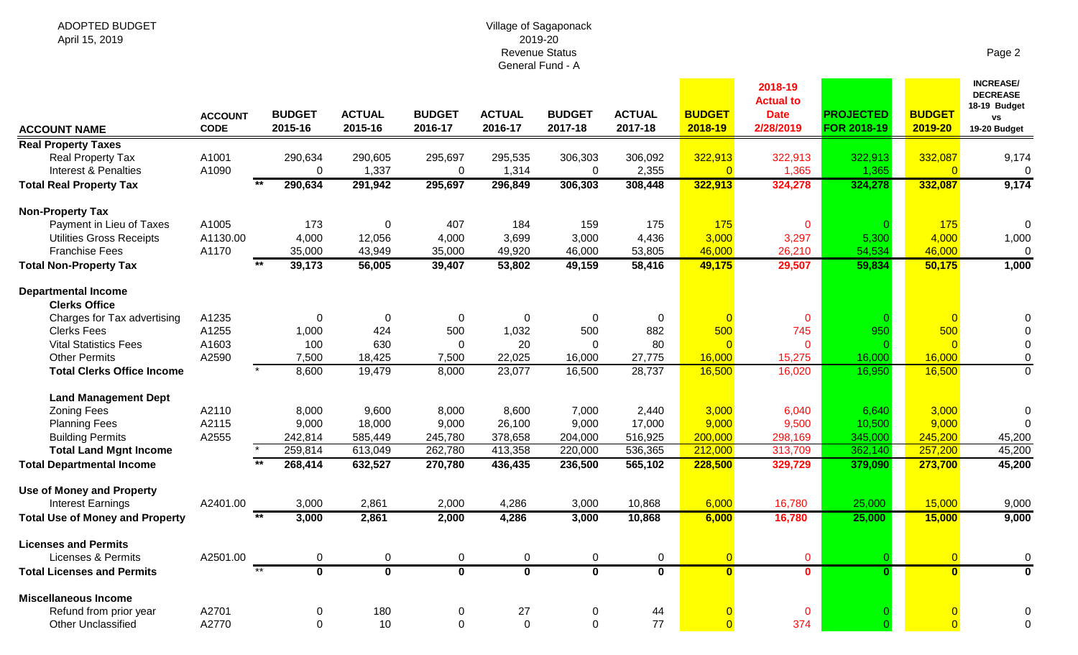# Village of Sagaponack 2019-20 Revenue Status General Fund - A

| <b>ACCOUNT NAME</b>                                  | <b>ACCOUNT</b><br><b>CODE</b> | <b>BUDGET</b><br>2015-16 | <b>ACTUAL</b><br>2015-16 | <b>BUDGET</b><br>2016-17 | <b>ACTUAL</b><br>2016-17 | <b>BUDGET</b><br>2017-18  | <b>ACTUAL</b><br>2017-18 | <b>BUDGET</b><br>2018-19  | 2018-19<br><b>Actual to</b><br><b>Date</b><br>2/28/2019 | <b>PROJECTED</b><br>FOR 2018-19 | <b>BUDGET</b><br>2019-20 | <b>INCREASE/</b><br><b>DECREASE</b><br>18-19 Budget<br>٧S<br>19-20 Budget |
|------------------------------------------------------|-------------------------------|--------------------------|--------------------------|--------------------------|--------------------------|---------------------------|--------------------------|---------------------------|---------------------------------------------------------|---------------------------------|--------------------------|---------------------------------------------------------------------------|
| <b>Real Property Taxes</b>                           |                               |                          |                          |                          |                          |                           |                          |                           |                                                         |                                 |                          |                                                                           |
| Real Property Tax<br><b>Interest &amp; Penalties</b> | A1001<br>A1090                | 290,634<br>0             | 290,605<br>1,337         | 295,697<br>$\mathbf 0$   | 295,535<br>1,314         | 306,303<br>$\overline{0}$ | 306,092<br>2,355         | 322,913<br>$\overline{0}$ | 322,913<br>1,365                                        | 322,913<br>1,365                | 332,087<br>$\Omega$      | 9,174<br>$\mathbf{0}$                                                     |
| <b>Total Real Property Tax</b>                       |                               | $*$<br>290,634           | 291,942                  | 295,697                  | 296,849                  | 306,303                   | 308,448                  | 322,913                   | 324,278                                                 | 324,278                         | 332,087                  | 9,174                                                                     |
| <b>Non-Property Tax</b>                              |                               |                          |                          |                          |                          |                           |                          |                           |                                                         |                                 |                          |                                                                           |
| Payment in Lieu of Taxes                             | A1005                         | 173                      | $\mathbf 0$              | 407                      | 184                      | 159                       | 175                      | 175                       | $\mathbf 0$                                             |                                 | 175                      | $\Omega$                                                                  |
| <b>Utilities Gross Receipts</b>                      | A1130.00                      | 4,000                    | 12,056                   | 4,000                    | 3,699                    | 3,000                     | 4,436                    | 3,000                     | 3,297                                                   | 5,300                           | 4,000                    | 1,000                                                                     |
| <b>Franchise Fees</b>                                | A1170                         | 35,000                   | 43,949                   | 35,000                   | 49,920                   | 46,000                    | 53,805                   | 46,000                    | 26,210                                                  | 54,534                          | 46,000                   | $\mathbf 0$                                                               |
| <b>Total Non-Property Tax</b>                        |                               | $**$<br>39,173           | 56,005                   | 39,407                   | 53,802                   | 49,159                    | 58,416                   | 49,175                    | 29,507                                                  | 59,834                          | 50,175                   | 1,000                                                                     |
| <b>Departmental Income</b><br><b>Clerks Office</b>   |                               |                          |                          |                          |                          |                           |                          |                           |                                                         |                                 |                          |                                                                           |
| Charges for Tax advertising                          | A1235                         | 0                        | $\mathbf 0$              | $\mathbf 0$              | $\pmb{0}$                | $\overline{0}$            | $\mathbf 0$              |                           | $\mathbf 0$                                             |                                 | $\overline{0}$           | 0                                                                         |
| <b>Clerks Fees</b>                                   | A1255                         | 1,000                    | 424                      | 500                      | 1,032                    | 500                       | 882                      | 500                       | 745                                                     | 950                             | 500                      |                                                                           |
| <b>Vital Statistics Fees</b>                         | A1603                         | 100                      | 630                      | $\Omega$                 | 20                       | $\Omega$                  | 80                       |                           | $\mathbf{0}$                                            |                                 | $\Omega$                 | $\mathbf 0$                                                               |
| <b>Other Permits</b>                                 | A2590                         | 7,500                    | 18,425                   | 7,500                    | 22,025                   | 16,000                    | 27,775                   | 16,000                    | 15,275                                                  | 16,000                          | 16,000                   | 0                                                                         |
| <b>Total Clerks Office Income</b>                    |                               | 8,600                    | 19,479                   | 8,000                    | 23,077                   | 16,500                    | 28,737                   | 16,500                    | 16,020                                                  | 16,950                          | 16,500                   | $\mathbf{0}$                                                              |
| <b>Land Management Dept</b>                          |                               |                          |                          |                          |                          |                           |                          |                           |                                                         |                                 |                          |                                                                           |
| <b>Zoning Fees</b>                                   | A2110                         | 8,000                    | 9,600                    | 8,000                    | 8,600                    | 7,000                     | 2,440                    | 3,000                     | 6,040                                                   | 6,640                           | 3,000                    | 0                                                                         |
| <b>Planning Fees</b>                                 | A2115                         | 9,000                    | 18,000                   | 9,000                    | 26,100                   | 9,000                     | 17,000                   | 9,000                     | 9,500                                                   | 10,500                          | 9,000                    | $\Omega$                                                                  |
| <b>Building Permits</b>                              | A2555                         | 242,814                  | 585,449                  | 245,780                  | 378,658                  | 204,000                   | 516,925                  | 200,000                   | 298,169                                                 | 345,000                         | 245,200                  | 45,200                                                                    |
| <b>Total Land Mgnt Income</b>                        |                               | 259,814                  | 613,049                  | 262,780                  | 413,358                  | 220,000                   | 536,365                  | 212,000                   | 313,709                                                 | 362,140                         | 257,200                  | 45,200                                                                    |
| <b>Total Departmental Income</b>                     |                               | $**$<br>268,414          | 632,527                  | 270,780                  | 436,435                  | 236,500                   | 565,102                  | 228,500                   | 329,729                                                 | 379,090                         | 273,700                  | 45,200                                                                    |
| <b>Use of Money and Property</b>                     |                               |                          |                          |                          |                          |                           |                          |                           |                                                         |                                 |                          |                                                                           |
| <b>Interest Earnings</b>                             | A2401.00                      | 3,000                    | 2,861                    | 2,000                    | 4,286                    | 3,000                     | 10,868                   | 6,000                     | 16,780                                                  | 25,000                          | 15,000                   | 9,000                                                                     |
| <b>Total Use of Money and Property</b>               |                               | $**$<br>3,000            | 2,861                    | 2,000                    | 4,286                    | 3,000                     | 10,868                   | 6,000                     | 16,780                                                  | 25,000                          | 15,000                   | 9,000                                                                     |
| <b>Licenses and Permits</b>                          |                               |                          |                          |                          |                          |                           |                          |                           |                                                         |                                 |                          |                                                                           |
| <b>Licenses &amp; Permits</b>                        | A2501.00                      | $\mathbf 0$              | $\boldsymbol{0}$         | $\mathbf 0$              | 0                        | 0                         | $\pmb{0}$                | $\overline{0}$            | $\mathbf{0}$                                            |                                 | $\overline{0}$           | $\mathbf 0$                                                               |
| <b>Total Licenses and Permits</b>                    |                               | $***$<br>$\mathbf 0$     | $\overline{\mathbf{0}}$  | $\mathbf 0$              | $\overline{\mathbf{0}}$  | $\mathbf 0$               | $\mathbf 0$              | $\mathbf{0}$              | $\mathbf 0$                                             | $\Omega$                        | $\mathbf{0}$             | $\bf{0}$                                                                  |
| <b>Miscellaneous Income</b>                          |                               |                          |                          |                          |                          |                           |                          |                           |                                                         |                                 |                          |                                                                           |
| Refund from prior year                               | A2701                         | 0                        | 180                      | 0                        | 27                       | 0                         | 44                       |                           | $\bf{0}$                                                |                                 |                          | $\Omega$                                                                  |
| <b>Other Unclassified</b>                            | A2770                         | $\mathbf 0$              | 10                       | $\mathbf 0$              | $\mathbf 0$              | $\mathbf 0$               | 77                       |                           | 374                                                     |                                 | $\overline{0}$           | $\mathbf{0}$                                                              |

Page 2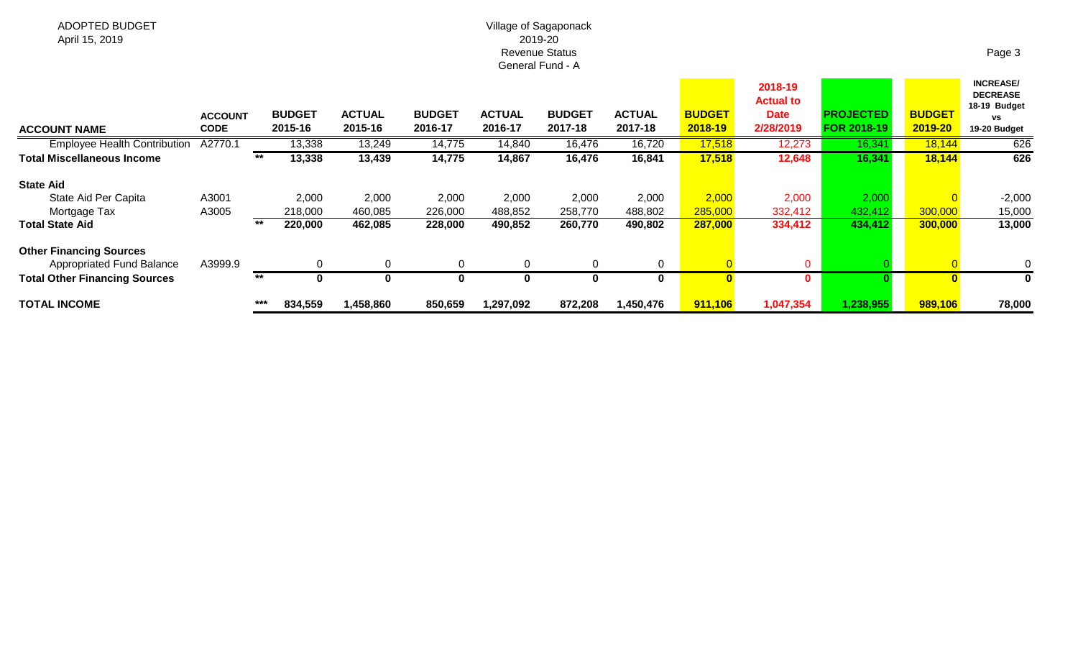# Village of Sagaponack 2019-20 Revenue Status General Fund - A

| <b>ACCOUNT NAME</b>                                         | <b>ACCOUNT</b><br>CODE |       | <b>BUDGET</b><br>2015-16 | <b>ACTUAL</b><br>2015-16 | <b>BUDGET</b><br>2016-17 | <b>ACTUAL</b><br>2016-17 | <b>BUDGET</b><br>2017-18 | <b>ACTUAL</b><br>2017-18 | <b>BUDGET</b><br>2018-19 | 2018-19<br><b>Actual to</b><br><b>Date</b><br>2/28/2019 | <b>PROJECTED</b><br><b>FOR 2018-19</b> | <b>BUDGET</b><br>2019-20 | <b>INCREASE/</b><br><b>DECREASE</b><br>18-19 Budget<br><b>VS</b><br>19-20 Budget |
|-------------------------------------------------------------|------------------------|-------|--------------------------|--------------------------|--------------------------|--------------------------|--------------------------|--------------------------|--------------------------|---------------------------------------------------------|----------------------------------------|--------------------------|----------------------------------------------------------------------------------|
| <b>Employee Health Contribution</b>                         | A2770.1                |       | 13,338                   | 13,249                   | 14,775                   | 14,840                   | 16,476                   | 16,720                   | 17,518                   | 12,273                                                  | 16,341                                 | 18,144                   | 626                                                                              |
| Total Miscellaneous Income                                  |                        | $***$ | 13,338                   | 13,439                   | 14,775                   | 14,867                   | 16,476                   | 16,841                   | 17,518                   | 12,648                                                  | 16,341                                 | 18,144                   | 626                                                                              |
| <b>State Aid</b>                                            |                        |       |                          |                          |                          |                          |                          |                          |                          |                                                         |                                        |                          |                                                                                  |
| State Aid Per Capita                                        | A3001                  |       | 2,000                    | 2,000                    | 2,000                    | 2,000                    | 2,000                    | 2,000                    | 2,000                    | 2,000                                                   | 2,000                                  |                          | $-2,000$                                                                         |
| Mortgage Tax                                                | A3005                  |       | 218,000                  | 460,085                  | 226,000                  | 488,852                  | 258,770                  | 488,802                  | 285,000                  | 332,412                                                 | 432,412                                | 300,000                  | 15,000                                                                           |
| <b>Total State Aid</b>                                      |                        | **    | 220,000                  | 462,085                  | 228,000                  | 490,852                  | 260,770                  | 490,802                  | 287,000                  | 334,412                                                 | 434,412                                | 300,000                  | 13,000                                                                           |
| <b>Other Financing Sources</b><br>Appropriated Fund Balance | A3999.9                |       | 0                        | 0                        | $\Omega$                 | 0                        | 0                        | 0                        |                          | $\mathbf 0$                                             |                                        |                          | $\Omega$                                                                         |
| <b>Total Other Financing Sources</b>                        |                        | **    | $\bf{0}$                 | U                        | O                        | $\bf{0}$                 | $\bf{0}$                 | 0                        | O                        | $\mathbf{0}$                                            |                                        |                          |                                                                                  |
| <b>TOTAL INCOME</b>                                         |                        | $***$ | 834,559                  | 1,458,860                | 850,659                  | ,297,092                 | 872,208                  | 1,450,476                | 911,106                  | 1,047,354                                               | 1,238,955                              | 989,106                  | 78,000                                                                           |

Page 3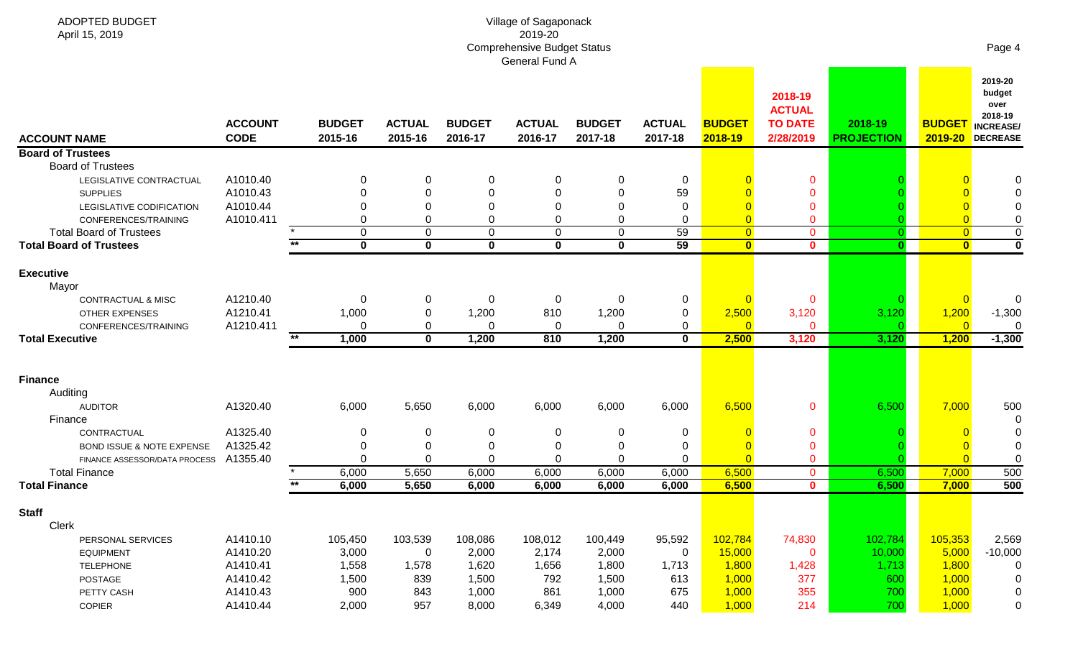| ADOPTED BUDGET<br>April 15, 2019 |                               |       |                          |                          |                          | Village of Sagaponack<br>2019-20<br><b>Comprehensive Budget Status</b> |                          |                          |                          |                                                         |                              |                          | Page 4                                                                      |
|----------------------------------|-------------------------------|-------|--------------------------|--------------------------|--------------------------|------------------------------------------------------------------------|--------------------------|--------------------------|--------------------------|---------------------------------------------------------|------------------------------|--------------------------|-----------------------------------------------------------------------------|
|                                  |                               |       |                          |                          |                          | General Fund A                                                         |                          |                          |                          |                                                         |                              |                          |                                                                             |
| <b>ACCOUNT NAME</b>              | <b>ACCOUNT</b><br><b>CODE</b> |       | <b>BUDGET</b><br>2015-16 | <b>ACTUAL</b><br>2015-16 | <b>BUDGET</b><br>2016-17 | <b>ACTUAL</b><br>2016-17                                               | <b>BUDGET</b><br>2017-18 | <b>ACTUAL</b><br>2017-18 | <b>BUDGET</b><br>2018-19 | 2018-19<br><b>ACTUAL</b><br><b>TO DATE</b><br>2/28/2019 | 2018-19<br><b>PROJECTION</b> | <b>BUDGET</b><br>2019-20 | 2019-20<br>budget<br>over<br>2018-19<br><b>INCREASE/</b><br><b>DECREASE</b> |
| <b>Board of Trustees</b>         |                               |       |                          |                          |                          |                                                                        |                          |                          |                          |                                                         |                              |                          |                                                                             |
| <b>Board of Trustees</b>         |                               |       |                          |                          |                          |                                                                        |                          |                          |                          |                                                         |                              |                          |                                                                             |
| LEGISLATIVE CONTRACTUAL          | A1010.40                      |       | $\Omega$                 | 0                        | 0                        | 0                                                                      | 0                        | 0                        |                          | 0                                                       |                              |                          | 0                                                                           |
| <b>SUPPLIES</b>                  | A1010.43                      |       | ∩                        | 0                        | $\Omega$                 | $\Omega$                                                               | $\mathbf{0}$             | 59                       |                          | $\mathbf{0}$                                            |                              |                          |                                                                             |
| LEGISLATIVE CODIFICATION         | A1010.44                      |       | ∩                        | 0                        | $\Omega$                 | $\Omega$                                                               | $\Omega$                 | 0                        |                          | 0                                                       |                              |                          | $\Omega$                                                                    |
| CONFERENCES/TRAINING             | A1010.411                     |       | $\Omega$                 | 0                        | $\Omega$                 | 0                                                                      | $\Omega$                 | $\Omega$                 | $\overline{0}$           | 0                                                       |                              |                          | 0                                                                           |
| <b>Total Board of Trustees</b>   |                               | $**$  | $\mathbf 0$              | 0                        | $\mathbf 0$              | $\mathbf 0$                                                            | $\mathbf 0$              | 59                       | $\overline{0}$           | $\mathbf 0$                                             | $\Omega$                     | $\overline{0}$           | $\mathbf 0$                                                                 |
| <b>Total Board of Trustees</b>   |                               |       | $\mathbf 0$              | $\mathbf 0$              | $\mathbf 0$              | $\mathbf 0$                                                            | $\mathbf{0}$             | 59                       | $\overline{\mathbf{0}}$  | $\mathbf{0}$                                            | $\bf{0}$                     | $\overline{\mathbf{0}}$  | $\mathbf 0$                                                                 |
| <b>Executive</b>                 |                               |       |                          |                          |                          |                                                                        |                          |                          |                          |                                                         |                              |                          |                                                                             |
| Mayor                            |                               |       |                          |                          |                          |                                                                        |                          |                          |                          |                                                         |                              |                          |                                                                             |
| CONTRACTUAL & MISC               | A1210.40                      |       | 0                        | 0                        | 0                        | 0                                                                      | 0                        | 0                        |                          | $\mathbf{0}$                                            |                              |                          | 0                                                                           |
| OTHER EXPENSES                   | A1210.41                      |       | 1,000                    | 0                        | 1,200                    | 810                                                                    | 1,200                    | $\mathbf 0$              | 2,500                    | 3,120                                                   | 3,120                        | 1,200                    | $-1,300$                                                                    |
| CONFERENCES/TRAINING             | A1210.411                     |       | $\Omega$                 | 0                        | $\Omega$                 | $\Omega$                                                               | $\Omega$                 | 0                        | $\overline{0}$           | O                                                       |                              | $\Omega$                 | $\Omega$                                                                    |
| <b>Total Executive</b>           |                               | $*$   | 1,000                    | $\overline{\mathbf{0}}$  | 1,200                    | 810                                                                    | 1,200                    | $\mathbf 0$              | 2,500                    | 3,120                                                   | 3,120                        | 1,200                    | $-1,300$                                                                    |
|                                  |                               |       |                          |                          |                          |                                                                        |                          |                          |                          |                                                         |                              |                          |                                                                             |
| <b>Finance</b>                   |                               |       |                          |                          |                          |                                                                        |                          |                          |                          |                                                         |                              |                          |                                                                             |
| Auditing                         |                               |       |                          |                          |                          |                                                                        |                          |                          |                          |                                                         |                              |                          |                                                                             |
| <b>AUDITOR</b>                   | A1320.40                      |       | 6,000                    | 5,650                    | 6,000                    | 6,000                                                                  | 6,000                    | 6,000                    | 6,500                    | $\mathbf{0}$                                            | 6,500                        | 7,000                    | 500                                                                         |
| Finance                          |                               |       |                          |                          |                          |                                                                        |                          |                          |                          |                                                         |                              |                          | 0                                                                           |
| CONTRACTUAL                      | A1325.40                      |       | 0                        | 0                        | 0                        |                                                                        | 0                        | 0                        |                          | 0                                                       |                              |                          |                                                                             |
| BOND ISSUE & NOTE EXPENSE        | A1325.42                      |       | $\Omega$                 | 0                        | 0                        | ∩                                                                      | 0                        | $\Omega$                 |                          | $\mathbf{0}$                                            |                              |                          |                                                                             |
| FINANCE ASSESSOR/DATA PROCESS    | A1355.40                      |       | $\Omega$                 | 0                        | $\Omega$                 | $\Omega$                                                               | 0                        | $\Omega$                 |                          | 0                                                       |                              |                          | 0                                                                           |
| <b>Total Finance</b>             |                               |       | 6,000                    | 5,650                    | 6,000                    | 6,000                                                                  | 6,000                    | 6,000                    | 6,500                    | $\Omega$                                                | 6,500                        | 7,000                    | 500                                                                         |
| <b>Total Finance</b>             |                               | $***$ | 6,000                    | 5,650                    | 6,000                    | 6,000                                                                  | 6,000                    | 6,000                    | 6,500                    | $\mathbf{0}$                                            | 6,500                        | 7,000                    | 500                                                                         |
|                                  |                               |       |                          |                          |                          |                                                                        |                          |                          |                          |                                                         |                              |                          |                                                                             |
| <b>Staff</b>                     |                               |       |                          |                          |                          |                                                                        |                          |                          |                          |                                                         |                              |                          |                                                                             |
| Clerk                            |                               |       |                          |                          |                          |                                                                        |                          |                          |                          |                                                         |                              |                          |                                                                             |
| PERSONAL SERVICES                | A1410.10                      |       | 105,450                  | 103,539                  | 108,086                  | 108,012                                                                | 100,449                  | 95,592                   | 102,784                  | 74,830                                                  | 102,784                      | 105,353                  | 2,569                                                                       |
| <b>EQUIPMENT</b>                 | A1410.20                      |       | 3,000                    | $\mathbf 0$              | 2,000                    | 2,174                                                                  | 2,000                    | 0                        | 15,000                   | $\mathbf{0}$                                            | 10,000                       | 5,000                    | $-10,000$                                                                   |
| <b>TELEPHONE</b>                 | A1410.41                      |       | 1,558                    | 1,578                    | 1,620                    | 1,656                                                                  | 1,800                    | 1,713                    | 1,800                    | 1,428                                                   | 1,713                        | 1,800                    | 0                                                                           |
| POSTAGE                          | A1410.42                      |       | 1,500                    | 839                      | 1,500                    | 792                                                                    | 1,500                    | 613                      | 1,000                    | 377                                                     | 600                          | 1,000                    | $\mathbf 0$                                                                 |
| PETTY CASH                       | A1410.43                      |       | 900                      | 843                      | 1,000                    | 861                                                                    | 1,000                    | 675                      | 1,000                    | 355                                                     | 700                          | 1,000                    | $\mathbf 0$                                                                 |
| COPIER                           | A1410.44                      |       | 2,000                    | 957                      | 8,000                    | 6,349                                                                  | 4,000                    | 440                      | 1,000                    | 214                                                     | 700                          | 1,000                    | 0                                                                           |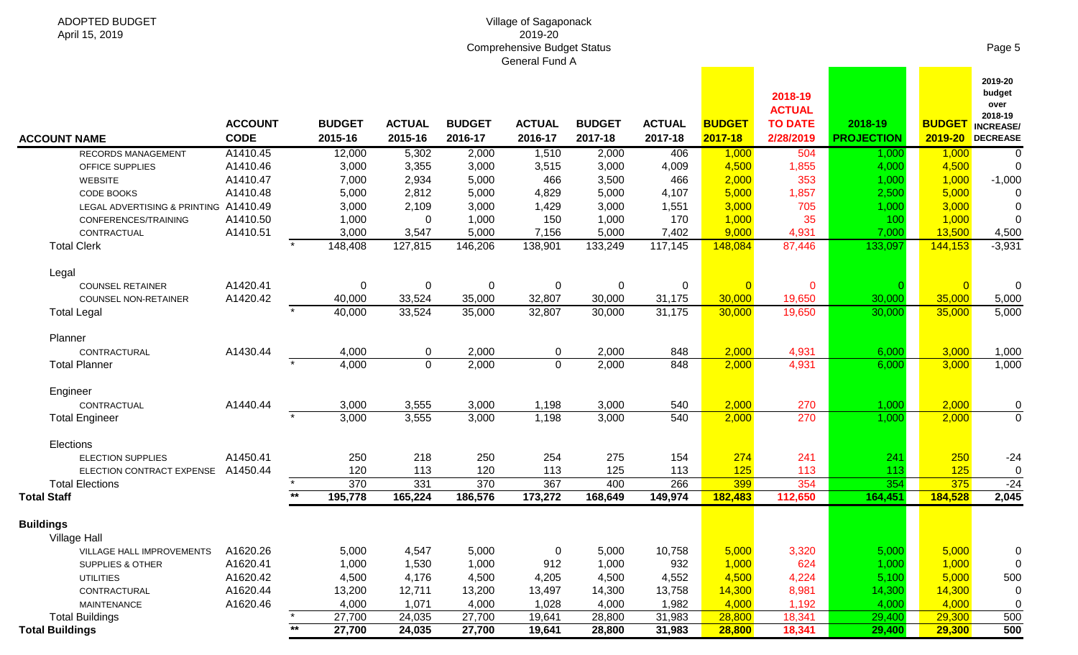#### Village of Sagaponack 2019-20 Comprehensive Budget Status General Fund A

| <b>ACCOUNT NAME</b>                     | <b>ACCOUNT</b><br><b>CODE</b> |                 | <b>BUDGET</b><br>2015-16 | <b>ACTUAL</b><br>2015-16 | <b>BUDGET</b><br>2016-17 | <b>ACTUAL</b><br>2016-17 | <b>BUDGET</b><br>2017-18 | <b>ACTUAL</b><br>2017-18 | <b>BUDGET</b><br>2017-18 | 2018-19<br><b>ACTUAL</b><br><b>TO DATE</b><br>2/28/2019 | 2018-19<br><b>PROJECTION</b> |                | 2019-20<br>budget<br>over<br>2018-19<br><b>BUDGET</b> INCREASE/<br>2019-20 DECREASE |
|-----------------------------------------|-------------------------------|-----------------|--------------------------|--------------------------|--------------------------|--------------------------|--------------------------|--------------------------|--------------------------|---------------------------------------------------------|------------------------------|----------------|-------------------------------------------------------------------------------------|
| RECORDS MANAGEMENT                      | A1410.45                      |                 | 12,000                   | 5,302                    | 2,000                    | 1,510                    | 2,000                    | 406                      | 1,000                    | 504                                                     | 1,000                        | 1,000          | $\overline{0}$                                                                      |
| OFFICE SUPPLIES                         | A1410.46                      |                 | 3,000                    | 3,355                    | 3,000                    | 3,515                    | 3,000                    | 4,009                    | 4,500                    | 1,855                                                   | 4,000                        | 4,500          | $\Omega$                                                                            |
| <b>WEBSITE</b>                          | A1410.47                      |                 | 7,000                    | 2,934                    | 5,000                    | 466                      | 3,500                    | 466                      | 2,000                    | 353                                                     | 1,000                        | 1,000          | $-1,000$                                                                            |
| CODE BOOKS                              | A1410.48                      |                 | 5,000                    | 2,812                    | 5,000                    | 4,829                    | 5,000                    | 4,107                    | 5,000                    | 1,857                                                   | 2,500                        | 5,000          |                                                                                     |
| LEGAL ADVERTISING & PRINTING A1410.49   |                               |                 | 3,000                    | 2,109                    | 3,000                    | 1,429                    | 3,000                    | 1,551                    | 3,000                    | 705                                                     | 1,000                        | 3,000          |                                                                                     |
| CONFERENCES/TRAINING                    | A1410.50                      |                 | 1,000                    | $\Omega$                 | 1,000                    | 150                      | 1,000                    | 170                      | 1,000                    | 35                                                      | 100                          | 1,000          | $\Omega$                                                                            |
| CONTRACTUAL                             | A1410.51                      |                 | 3,000                    | 3,547                    | 5,000                    | 7,156                    | 5,000                    | 7,402                    | 9,000                    | 4,931                                                   | 7,000                        | 13,500         | 4,500                                                                               |
| <b>Total Clerk</b>                      |                               |                 | 148,408                  | 127,815                  | 146,206                  | 138,901                  | 133,249                  | 117,145                  | 148,084                  | 87,446                                                  | 133,097                      | 144,153        | $-3,931$                                                                            |
| Legal                                   |                               |                 |                          |                          |                          |                          |                          |                          |                          |                                                         |                              |                |                                                                                     |
| <b>COUNSEL RETAINER</b>                 | A1420.41                      |                 | 0                        | 0                        | 0                        | 0                        | 0                        | 0                        |                          | $\mathbf 0$                                             |                              | $\overline{0}$ | $\mathbf 0$                                                                         |
| <b>COUNSEL NON-RETAINER</b>             | A1420.42                      |                 | 40,000                   | 33,524                   | 35,000                   | 32,807                   | 30,000                   | 31,175                   | 30,000                   | 19,650                                                  | 30,000                       | 35,000         | 5,000                                                                               |
| <b>Total Legal</b>                      |                               |                 | 40,000                   | 33,524                   | 35,000                   | 32,807                   | 30,000                   | 31,175                   | 30,000                   | 19,650                                                  | 30,000                       | 35,000         | 5,000                                                                               |
| Planner                                 |                               |                 |                          |                          |                          |                          |                          |                          |                          |                                                         |                              |                |                                                                                     |
| CONTRACTURAL                            | A1430.44                      |                 | 4,000                    | 0                        | 2,000                    | 0                        | 2,000                    | 848                      | 2,000                    | 4,931                                                   | 6,000                        | 3,000          | 1,000                                                                               |
| <b>Total Planner</b>                    |                               |                 | 4,000                    | $\mathbf 0$              | 2,000                    | $\mathbf 0$              | 2,000                    | 848                      | 2,000                    | 4,931                                                   | 6,000                        | 3,000          | 1,000                                                                               |
| Engineer                                |                               |                 |                          |                          |                          |                          |                          |                          |                          |                                                         |                              |                |                                                                                     |
| CONTRACTUAL                             | A1440.44                      |                 | 3,000                    | 3,555                    | 3,000                    | 1,198                    | 3,000                    | 540                      | 2,000                    | 270                                                     | 1,000                        | 2,000          | 0                                                                                   |
| <b>Total Engineer</b>                   |                               |                 | 3,000                    | 3,555                    | 3,000                    | 1,198                    | 3,000                    | 540                      | 2,000                    | 270                                                     | 1,000                        | 2,000          | $\mathbf 0$                                                                         |
| Elections                               |                               |                 |                          |                          |                          |                          |                          |                          |                          |                                                         |                              |                |                                                                                     |
| <b>ELECTION SUPPLIES</b>                | A1450.41                      |                 | 250                      | 218                      | 250                      | 254                      | 275                      | 154                      | 274                      | 241                                                     | 241                          | 250            | $-24$                                                                               |
| ELECTION CONTRACT EXPENSE               | A1450.44                      |                 | 120                      | 113                      | 120                      | 113                      | 125                      | 113                      | 125                      | 113                                                     | 113                          | 125            | 0                                                                                   |
| <b>Total Elections</b>                  |                               |                 | 370                      | 331                      | 370                      | 367                      | 400                      | 266                      | 399                      | 354                                                     | 354                          | 375            | $-24$                                                                               |
| <b>Total Staff</b>                      |                               | $\overline{**}$ | 195,778                  | 165,224                  | 186,576                  | 173,272                  | 168,649                  | 149,974                  | 182,483                  | 112,650                                                 | 164,451                      | 184,528        | 2,045                                                                               |
| <b>Buildings</b><br><b>Village Hall</b> |                               |                 |                          |                          |                          |                          |                          |                          |                          |                                                         |                              |                |                                                                                     |
| VILLAGE HALL IMPROVEMENTS A1620.26      |                               |                 | 5,000                    | 4,547                    | 5,000                    | 0                        | 5,000                    | 10,758                   | 5,000                    | 3,320                                                   | 5,000                        | 5,000          |                                                                                     |
| SUPPLIES & OTHER                        | A1620.41                      |                 | 1,000                    | 1,530                    | 1,000                    | 912                      | 1,000                    | 932                      | 1,000                    | 624                                                     | 1,000                        | 1,000          |                                                                                     |
| <b>UTILITIES</b>                        | A1620.42                      |                 | 4,500                    | 4,176                    | 4,500                    | 4,205                    | 4,500                    | 4,552                    | 4,500                    | 4,224                                                   | 5,100                        | 5,000          | 500                                                                                 |
| CONTRACTURAL                            | A1620.44                      |                 | 13,200                   | 12,711                   | 13,200                   | 13,497                   | 14,300                   | 13,758                   | 14,300                   | 8,981                                                   | 14,300                       | 14,300         |                                                                                     |
| MAINTENANCE                             | A1620.46                      |                 | 4,000                    | 1,071                    | 4,000                    | 1,028                    | 4,000                    | 1,982                    | 4,000                    | 1,192                                                   | 4,000                        | 4,000          |                                                                                     |
| <b>Total Buildings</b>                  |                               |                 | 27,700                   | 24,035                   | 27,700                   | 19,641                   | 28,800                   | 31,983                   | 28,800                   | 18,341                                                  | 29,400                       | 29,300         | 500                                                                                 |
| <b>Total Buildings</b>                  |                               | $\star\star$    | 27,700                   | 24,035                   | 27,700                   | 19,641                   | 28,800                   | 31,983                   | 28,800                   | 18,341                                                  | 29,400                       | 29,300         | 500                                                                                 |

Page 5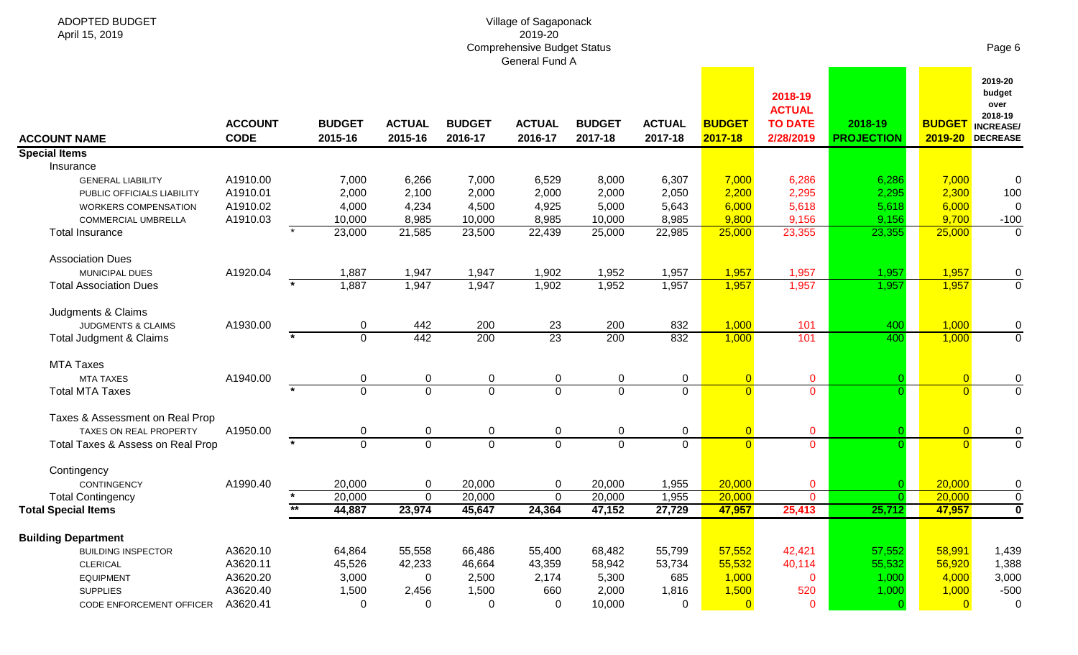| April 15, 2019                     | 2019-20<br><b>Comprehensive Budget Status</b><br>General Fund A |                          |                          |                          |                          |                          |                          |                          |                                                         |                              |                |                                                                              |  |
|------------------------------------|-----------------------------------------------------------------|--------------------------|--------------------------|--------------------------|--------------------------|--------------------------|--------------------------|--------------------------|---------------------------------------------------------|------------------------------|----------------|------------------------------------------------------------------------------|--|
| <b>ACCOUNT NAME</b>                | <b>ACCOUNT</b><br><b>CODE</b>                                   | <b>BUDGET</b><br>2015-16 | <b>ACTUAL</b><br>2015-16 | <b>BUDGET</b><br>2016-17 | <b>ACTUAL</b><br>2016-17 | <b>BUDGET</b><br>2017-18 | <b>ACTUAL</b><br>2017-18 | <b>BUDGET</b><br>2017-18 | 2018-19<br><b>ACTUAL</b><br><b>TO DATE</b><br>2/28/2019 | 2018-19<br><b>PROJECTION</b> | <b>BUDGET</b>  | 2019-20<br>budget<br>over<br>2018-19<br><b>INCREASE/</b><br>2019-20 DECREASE |  |
| <b>Special Items</b>               |                                                                 |                          |                          |                          |                          |                          |                          |                          |                                                         |                              |                |                                                                              |  |
| Insurance                          |                                                                 |                          |                          |                          |                          |                          |                          |                          |                                                         |                              |                |                                                                              |  |
| <b>GENERAL LIABILITY</b>           | A1910.00                                                        | 7,000                    | 6,266                    | 7,000                    | 6,529                    | 8,000                    | 6,307                    | 7,000                    | 6,286                                                   | 6,286                        | 7,000          | 0                                                                            |  |
| PUBLIC OFFICIALS LIABILITY         | A1910.01                                                        | 2,000                    | 2,100                    | 2,000                    | 2,000                    | 2,000                    | 2,050                    | 2,200                    | 2,295                                                   | 2,295                        | 2,300          | 100                                                                          |  |
| <b>WORKERS COMPENSATION</b>        | A1910.02                                                        | 4,000                    | 4,234                    | 4,500                    | 4,925                    | 5,000                    | 5,643                    | 6,000                    | 5,618                                                   | 5,618                        | 6,000          | 0                                                                            |  |
| COMMERCIAL UMBRELLA                | A1910.03                                                        | 10,000                   | 8,985                    | 10,000                   | 8,985                    | 10,000                   | 8,985                    | 9,800                    | 9,156                                                   | 9,156                        | 9,700          | $-100$                                                                       |  |
| <b>Total Insurance</b>             |                                                                 | 23,000                   | 21,585                   | 23,500                   | 22,439                   | 25,000                   | 22,985                   | 25,000                   | 23,355                                                  | 23,355                       | 25,000         | $\mathbf 0$                                                                  |  |
| <b>Association Dues</b>            |                                                                 |                          |                          |                          |                          |                          |                          |                          |                                                         |                              |                |                                                                              |  |
| MUNICIPAL DUES                     | A1920.04                                                        | 1,887                    | 1,947                    | 1,947                    | 1,902                    | 1,952                    | 1,957                    | 1,957                    | 1,957                                                   | 1,957                        | 1,957          | 0                                                                            |  |
| <b>Total Association Dues</b>      |                                                                 | 1,887                    | 1,947                    | 1,947                    | 1,902                    | 1,952                    | 1,957                    | 1,957                    | 1,957                                                   | 1,957                        | 1,957          | $\mathbf 0$                                                                  |  |
| Judgments & Claims                 |                                                                 |                          |                          |                          |                          |                          |                          |                          |                                                         |                              |                |                                                                              |  |
| JUDGMENTS & CLAIMS                 | A1930.00                                                        | 0                        | 442                      | 200                      | 23                       | 200                      | 832                      | 1,000                    | 101                                                     | 400                          | 1,000          | 0                                                                            |  |
| <b>Total Judgment &amp; Claims</b> |                                                                 | $\Omega$                 | 442                      | 200                      | $\overline{23}$          | 200                      | 832                      | 1,000                    | 101                                                     | 400                          | 1,000          | $\mathbf 0$                                                                  |  |
| <b>MTA Taxes</b>                   |                                                                 |                          |                          |                          |                          |                          |                          |                          |                                                         |                              |                |                                                                              |  |
| <b>MTA TAXES</b>                   | A1940.00                                                        | 0                        | $\mathbf 0$              | 0                        | $\pmb{0}$                | 0                        | 0                        | $\overline{0}$           | $\mathbf 0$                                             |                              | $\overline{0}$ | 0                                                                            |  |
| <b>Total MTA Taxes</b>             | $\star$                                                         | $\Omega$                 | $\overline{0}$           | $\Omega$                 | $\overline{0}$           | $\Omega$                 | $\Omega$                 | $\Omega$                 | $\Omega$                                                |                              | $\Omega$       | $\overline{0}$                                                               |  |
| Taxes & Assessment on Real Prop    |                                                                 |                          |                          |                          |                          |                          |                          |                          |                                                         |                              |                |                                                                              |  |
| TAXES ON REAL PROPERTY             | A1950.00                                                        | 0                        | $\mathbf 0$              | 0                        | $\pmb{0}$                | $\Omega$                 | 0                        | $\overline{0}$           | $\mathbf{0}$                                            |                              | $\overline{0}$ | $\pmb{0}$                                                                    |  |
| Total Taxes & Assess on Real Prop  |                                                                 | $\Omega$                 | $\mathbf 0$              | $\overline{0}$           | $\overline{0}$           | $\Omega$                 | $\Omega$                 | $\Omega$                 | $\overline{0}$                                          |                              | $\Omega$       | $\mathbf{0}$                                                                 |  |
| Contingency                        |                                                                 |                          |                          |                          |                          |                          |                          |                          |                                                         |                              |                |                                                                              |  |
| CONTINGENCY                        | A1990.40                                                        | 20,000                   | $\mathbf 0$              | 20,000                   | $\pmb{0}$                | 20,000                   | 1,955                    | 20,000                   | $\mathbf{O}$                                            |                              | 20,000         | 0                                                                            |  |
| <b>Total Contingency</b>           |                                                                 | 20,000                   | $\mathbf 0$              | 20,000                   | $\mathbf 0$              | 20,000                   | 1,955                    | 20,000                   | $\mathbf{0}$                                            |                              | 20,000         | $\mathbf 0$                                                                  |  |
| <b>Total Special Items</b>         |                                                                 | 44,887                   | 23,974                   | 45,647                   | 24,364                   | 47,152                   | 27,729                   | 47,957                   | 25,413                                                  | 25,712                       | 47,957         | $\overline{\mathbf{0}}$                                                      |  |
| <b>Building Department</b>         |                                                                 |                          |                          |                          |                          |                          |                          |                          |                                                         |                              |                |                                                                              |  |
| <b>BUILDING INSPECTOR</b>          | A3620.10                                                        | 64,864                   | 55,558                   | 66,486                   | 55,400                   | 68,482                   | 55,799                   | 57,552                   | 42,421                                                  | 57,552                       | 58,991         | 1,439                                                                        |  |
| <b>CLERICAL</b>                    | A3620.11                                                        | 45,526                   | 42,233                   | 46,664                   | 43,359                   | 58,942                   | 53,734                   | 55,532                   | 40,114                                                  | 55,532                       | 56,920         | 1,388                                                                        |  |
| <b>EQUIPMENT</b>                   | A3620.20                                                        | 3,000                    | 0                        | 2,500                    | 2,174                    | 5,300                    | 685                      | 1,000                    | $\mathbf 0$                                             | 1,000                        | 4,000          | 3,000                                                                        |  |
| <b>SUPPLIES</b>                    | A3620.40                                                        | 1,500                    | 2,456                    | 1,500                    | 660                      | 2,000                    | 1,816                    | 1,500                    | 520                                                     | 1,000                        | 1,000          | $-500$                                                                       |  |
| CODE ENFORCEMENT OFFICER           | A3620.41                                                        | $\mathbf 0$              | 0                        | 0                        | 0                        | 10,000                   | 0                        | $\mathbf{0}$             | $\mathbf 0$                                             |                              | $\overline{0}$ | $\mathbf 0$                                                                  |  |

Village of Sagaponack

ADOPTED BUDGET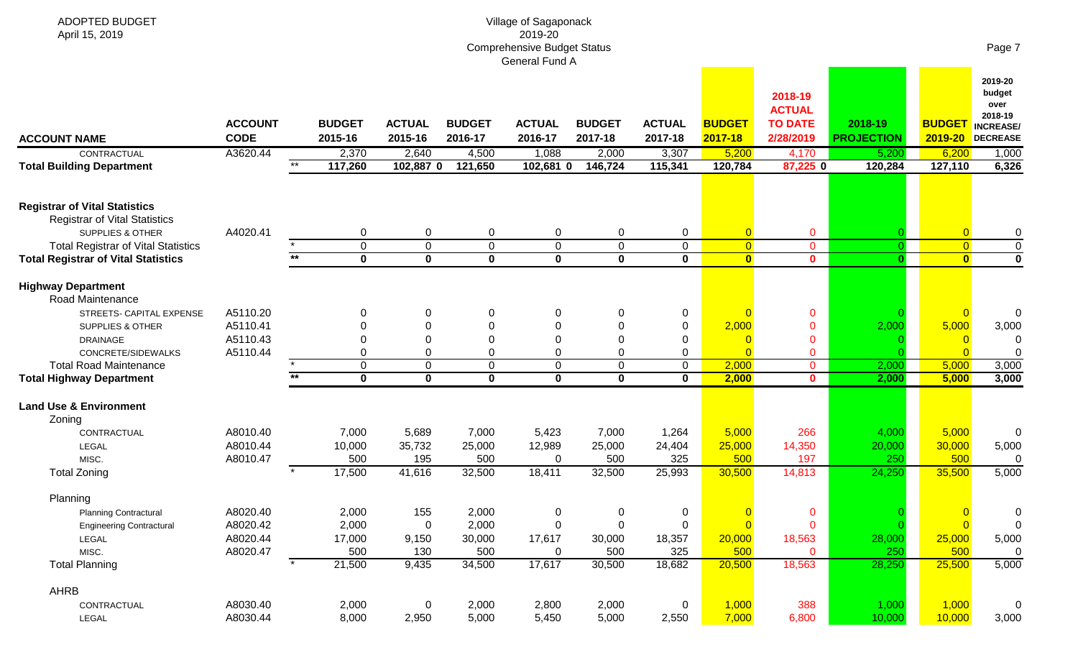| <b>ADOPTED BUDGET</b><br>April 15, 2019                                      |                 |                  |                            |                            | Village of Sagaponack<br>2019-20<br><b>Comprehensive Budget Status</b> |                         |                     |                                  |                                            |                   |                                  | Page 7                                                   |
|------------------------------------------------------------------------------|-----------------|------------------|----------------------------|----------------------------|------------------------------------------------------------------------|-------------------------|---------------------|----------------------------------|--------------------------------------------|-------------------|----------------------------------|----------------------------------------------------------|
|                                                                              | <b>ACCOUNT</b>  | <b>BUDGET</b>    | <b>ACTUAL</b>              | <b>BUDGET</b>              | General Fund A<br><b>ACTUAL</b>                                        | <b>BUDGET</b>           | <b>ACTUAL</b>       | <b>BUDGET</b>                    | 2018-19<br><b>ACTUAL</b><br><b>TO DATE</b> | 2018-19           | <b>BUDGET</b>                    | 2019-20<br>budget<br>over<br>2018-19<br><b>INCREASE/</b> |
| <b>ACCOUNT NAME</b>                                                          | <b>CODE</b>     | 2015-16          | 2015-16                    | 2016-17                    | 2016-17                                                                | 2017-18                 | 2017-18             | 2017-18                          | 2/28/2019                                  | <b>PROJECTION</b> | 2019-20                          | DECREASE                                                 |
| CONTRACTUAL<br><b>Total Building Department</b>                              | A3620.44<br>$*$ | 2,370<br>117,260 | 2,640<br>102,887 0         | 4,500<br>121,650           | 1,088<br>102,681 0                                                     | 2,000<br>146,724        | 3,307<br>115,341    | 5,200<br>120,784                 | 4,170<br>87,225 0                          | 5,200<br>120,284  | 6,200<br>127,110                 | 1,000<br>6,326                                           |
| <b>Registrar of Vital Statistics</b><br><b>Registrar of Vital Statistics</b> |                 |                  |                            |                            |                                                                        |                         |                     |                                  |                                            |                   |                                  |                                                          |
| <b>SUPPLIES &amp; OTHER</b><br><b>Total Registrar of Vital Statistics</b>    | A4020.41        | 0<br>$\mathbf 0$ | $\mathbf 0$<br>$\mathbf 0$ | $\mathbf 0$<br>$\mathbf 0$ | $\pmb{0}$<br>$\pmb{0}$                                                 | 0<br>$\mathbf 0$        | 0<br>$\overline{0}$ | $\overline{0}$<br>$\overline{0}$ | $\mathbf 0$<br>$\overline{0}$              | $\Omega$          | $\overline{0}$<br>$\overline{0}$ | 0<br>$\overline{0}$                                      |
| <b>Total Registrar of Vital Statistics</b>                                   | $***$           | $\mathbf 0$      | $\mathbf 0$                | $\mathbf 0$                | $\mathbf 0$                                                            | $\mathbf 0$             | $\mathbf 0$         | $\overline{\mathbf{0}}$          | $\mathbf{0}$                               | $\mathbf{0}$      | $\bullet$                        | $\overline{\mathbf{0}}$                                  |
|                                                                              |                 |                  |                            |                            |                                                                        |                         |                     |                                  |                                            |                   |                                  |                                                          |
| <b>Highway Department</b><br>Road Maintenance                                |                 |                  |                            |                            |                                                                        |                         |                     |                                  |                                            |                   |                                  |                                                          |
| STREETS- CAPITAL EXPENSE                                                     | A5110.20        | 0                | $\mathbf 0$                | 0                          | 0                                                                      | 0                       | 0                   | $\Omega$                         | $\mathbf 0$                                |                   | $\overline{0}$                   |                                                          |
| <b>SUPPLIES &amp; OTHER</b>                                                  | A5110.41        | $\Omega$         | $\Omega$                   | O                          | $\Omega$                                                               | $\Omega$                | 0                   | 2,000                            | $\mathbf{0}$                               | 2,000             | 5,000                            | 3,000                                                    |
| <b>DRAINAGE</b>                                                              | A5110.43        | $\Omega$         | $\Omega$                   | U                          | $\Omega$                                                               | $\Omega$                | 0                   | C                                | $\mathbf 0$                                |                   |                                  |                                                          |
| CONCRETE/SIDEWALKS<br><b>Total Road Maintenance</b>                          | A5110.44        | 0<br>$\mathbf 0$ | 0<br>$\mathbf 0$           | 0<br>$\mathbf 0$           | 0<br>$\mathbf 0$                                                       | $\Omega$<br>$\mathbf 0$ | 0<br>$\overline{0}$ | $\Omega$<br>2,000                | $\mathbf 0$                                | 2,000             | 5,000                            | 3,000                                                    |
| <b>Total Highway Department</b>                                              | $***$           | $\mathbf 0$      | $\mathbf{0}$               | $\mathbf 0$                | $\mathbf 0$                                                            | $\mathbf 0$             | $\mathbf{0}$        | 2,000                            | $\mathbf{0}$<br>$\mathbf{0}$               | 2,000             | 5,000                            | 3,000                                                    |
|                                                                              |                 |                  |                            |                            |                                                                        |                         |                     |                                  |                                            |                   |                                  |                                                          |
| <b>Land Use &amp; Environment</b><br>Zoning                                  |                 |                  |                            |                            |                                                                        |                         |                     |                                  |                                            |                   |                                  |                                                          |
| CONTRACTUAL                                                                  | A8010.40        | 7,000            | 5,689                      | 7,000                      | 5,423                                                                  | 7,000                   | 1,264               | 5,000                            | 266                                        | 4,000             | 5,000                            | 0                                                        |
| LEGAL                                                                        | A8010.44        | 10,000           | 35,732                     | 25,000                     | 12,989                                                                 | 25,000                  | 24,404              | 25,000                           | 14,350                                     | 20,000            | 30,000                           | 5,000                                                    |
| MISC.                                                                        | A8010.47        | 500              | 195                        | 500                        | 0                                                                      | 500                     | 325                 | 500                              | 197                                        | 250               | 500                              |                                                          |
| <b>Total Zoning</b>                                                          |                 | 17,500           | 41,616                     | 32,500                     | 18,411                                                                 | 32,500                  | 25,993              | 30,500                           | 14,813                                     | 24,250            | 35,500                           | 5,000                                                    |
| Planning                                                                     |                 |                  |                            |                            |                                                                        |                         |                     |                                  |                                            |                   |                                  |                                                          |
| <b>Planning Contractural</b>                                                 | A8020.40        | 2,000            | 155                        | 2,000                      | $\boldsymbol{0}$                                                       | 0                       | $\mathbf 0$         | $\overline{0}$                   | $\mathbf 0$                                |                   | $\overline{\mathbf{0}}$          |                                                          |
| <b>Engineering Contractural</b>                                              | A8020.42        | 2,000            | $\overline{0}$             | 2,000                      | $\mathbf 0$                                                            | $\mathbf 0$             | $\mathbf 0$         | $\overline{0}$                   | $\mathbf 0$                                |                   | $\overline{0}$                   |                                                          |
| LEGAL                                                                        | A8020.44        | 17,000           | 9,150                      | 30,000                     | 17,617                                                                 | 30,000                  | 18,357              | 20,000                           | 18,563                                     | 28,000            | 25,000                           | 5,000                                                    |
| MISC.<br><b>Total Planning</b>                                               | A8020.47        | 500<br>21,500    | 130<br>9,435               | 500<br>34,500              | 0<br>17,617                                                            | 500<br>30,500           | 325<br>18,682       | 500<br>20,500                    | $\mathbf{0}$<br>18,563                     | 250<br>28,250     | 500<br>25,500                    | 0<br>5,000                                               |
|                                                                              |                 |                  |                            |                            |                                                                        |                         |                     |                                  |                                            |                   |                                  |                                                          |
| AHRB                                                                         |                 |                  |                            |                            |                                                                        |                         |                     |                                  |                                            |                   |                                  |                                                          |
| CONTRACTUAL                                                                  | A8030.40        | 2,000            | $\overline{0}$             | 2,000                      | 2,800                                                                  | 2,000                   | 0                   | 1,000                            | 388                                        | 1,000<br>10,000   | 1,000                            | 0                                                        |
| LEGAL                                                                        | A8030.44        | 8,000            | 2,950                      | 5,000                      | 5,450                                                                  | 5,000                   | 2,550               | 7,000                            | 6,800                                      |                   | 10,000                           | 3,000                                                    |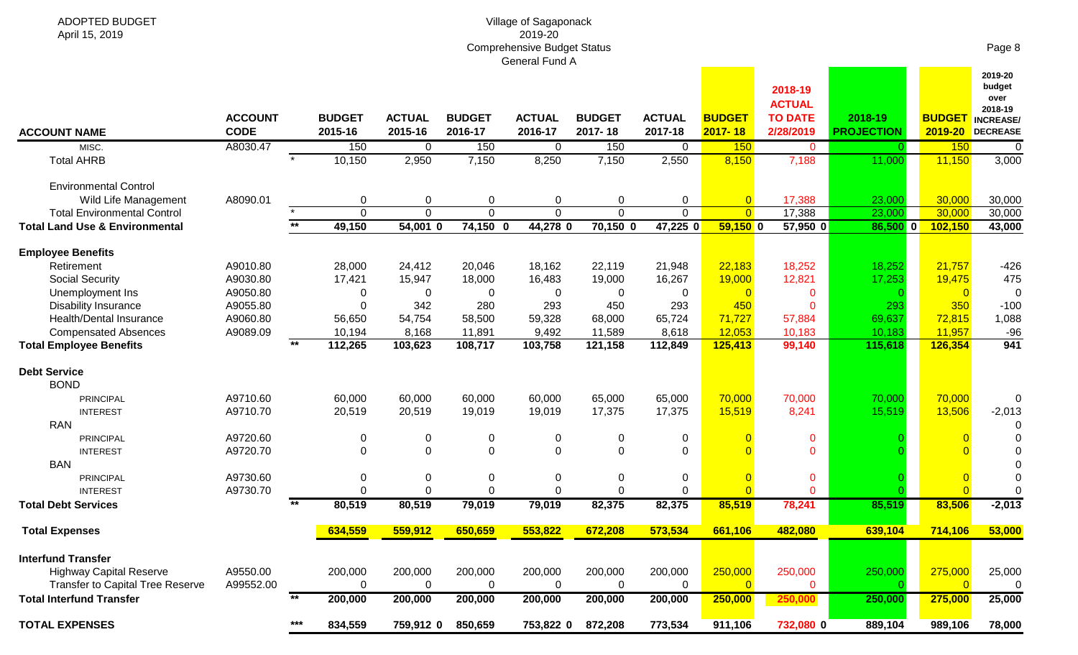# Village of Sagaponack 2019-20 Comprehensive Budget Status General Fund A

| <b>ACCOUNT NAME</b>                                                       | <b>ACCOUNT</b><br><b>CODE</b> |      | <b>BUDGET</b><br>2015-16 | <b>ACTUAL</b><br>2015-16 | <b>BUDGET</b><br>2016-17 | <b>ACTUAL</b><br>2016-17 | <b>BUDGET</b><br>2017-18 | <b>ACTUAL</b><br>2017-18 | <b>BUDGET</b><br>$2017 - 18$ | 2018-19<br><b>ACTUAL</b><br><b>TO DATE</b><br>2/28/2019 | 2018-19<br><b>PROJECTION</b> | <b>BUDGET</b><br>2019-20 | 2019-20<br>budget<br>over<br>2018-19<br><b>INCREASE/</b><br><b>DECREASE</b> |
|---------------------------------------------------------------------------|-------------------------------|------|--------------------------|--------------------------|--------------------------|--------------------------|--------------------------|--------------------------|------------------------------|---------------------------------------------------------|------------------------------|--------------------------|-----------------------------------------------------------------------------|
| MISC.                                                                     | A8030.47                      |      | 150                      | 0                        | 150                      | $\overline{0}$           | 150                      | $\Omega$                 | 150                          | $\mathbf{0}$                                            | $\Omega$                     | 150                      | $\overline{0}$                                                              |
| <b>Total AHRB</b>                                                         |                               |      | 10,150                   | 2,950                    | 7,150                    | 8,250                    | 7,150                    | 2,550                    | 8,150                        | 7,188                                                   | 11,000                       | 11,150                   | 3,000                                                                       |
| <b>Environmental Control</b>                                              |                               |      |                          |                          |                          |                          |                          |                          |                              |                                                         |                              |                          |                                                                             |
| Wild Life Management                                                      | A8090.01                      |      | $\Omega$                 | 0                        | 0                        | $\pmb{0}$                | $\Omega$                 | 0                        | $\overline{0}$               | 17,388                                                  | 23,000                       | 30,000                   | 30,000                                                                      |
| <b>Total Environmental Control</b>                                        |                               |      | $\mathbf{0}$             | $\overline{0}$           | $\Omega$                 | $\overline{0}$           | $\Omega$                 | $\Omega$                 | $\overline{0}$               | 17,388                                                  | 23,000                       | 30,000                   | 30,000                                                                      |
| <b>Total Land Use &amp; Environmental</b>                                 |                               | $**$ | 49,150                   | $54,001$ 0               | $74,150$ 0               | 44,278 0                 | $70,150$ 0               | 47,225 0                 | $59,150$ 0                   | $57,950$ 0                                              | 86,500 0                     | 102,150                  | 43,000                                                                      |
| <b>Employee Benefits</b>                                                  |                               |      |                          |                          |                          |                          |                          |                          |                              |                                                         |                              |                          |                                                                             |
| Retirement                                                                | A9010.80                      |      | 28,000                   | 24,412                   | 20,046                   | 18,162                   | 22,119                   | 21,948                   | 22,183                       | 18,252                                                  | 18,252                       | 21,757                   | $-426$                                                                      |
| <b>Social Security</b>                                                    | A9030.80                      |      | 17,421                   | 15,947                   | 18,000                   | 16,483                   | 19,000                   | 16,267                   | 19,000                       | 12,821                                                  | 17,253                       | 19,475                   | 475                                                                         |
| Unemployment Ins                                                          | A9050.80                      |      | $\Omega$                 | 0                        | 0                        | $\mathbf 0$              | $\Omega$                 | 0                        | $\Omega$                     | $\mathbf 0$                                             |                              | $\Omega$                 |                                                                             |
| <b>Disability Insurance</b>                                               | A9055.80                      |      | $\Omega$                 | 342                      | 280                      | 293                      | 450                      | 293                      | 450                          | $\Omega$                                                | 293                          | 350                      | $-100$                                                                      |
| Health/Dental Insurance                                                   | A9060.80                      |      | 56,650                   | 54,754                   | 58,500                   | 59,328                   | 68,000                   | 65,724                   | 71,727                       | 57,884                                                  | 69,637                       | 72,815                   | 1,088                                                                       |
| <b>Compensated Absences</b>                                               | A9089.09                      |      | 10,194                   | 8,168                    | 11,891                   | 9,492                    | 11,589                   | 8,618                    | 12,053                       | 10,183                                                  | 10,183                       | 11,957                   | $-96$                                                                       |
| <b>Total Employee Benefits</b>                                            |                               | $**$ | 112,265                  | 103,623                  | 108,717                  | 103,758                  | 121,158                  | 112,849                  | 125,413                      | 99,140                                                  | 115,618                      | 126,354                  | 941                                                                         |
| <b>Debt Service</b><br><b>BOND</b>                                        |                               |      |                          |                          |                          |                          |                          |                          |                              |                                                         |                              |                          |                                                                             |
| <b>PRINCIPAL</b>                                                          | A9710.60                      |      | 60,000                   | 60,000                   | 60,000                   | 60,000                   | 65,000                   | 65,000                   | 70,000                       | 70,000                                                  | 70,000                       | 70,000                   | $\Omega$                                                                    |
| <b>INTEREST</b>                                                           | A9710.70                      |      | 20,519                   | 20,519                   | 19,019                   | 19,019                   | 17,375                   | 17,375                   | 15,519                       | 8,241                                                   | 15,519                       | 13,506                   | $-2,013$                                                                    |
| <b>RAN</b>                                                                |                               |      |                          |                          |                          |                          |                          |                          |                              |                                                         |                              |                          |                                                                             |
| <b>PRINCIPAL</b>                                                          | A9720.60                      |      | $\mathbf 0$              | 0                        | 0                        | $\mathbf 0$              | 0                        | 0                        |                              | $\mathbf 0$                                             |                              |                          |                                                                             |
| <b>INTEREST</b>                                                           | A9720.70                      |      | $\Omega$                 | $\mathbf 0$              | $\Omega$                 | $\mathbf 0$              | $\Omega$                 | $\Omega$                 |                              | $\Omega$                                                |                              |                          |                                                                             |
| <b>BAN</b>                                                                |                               |      |                          |                          |                          |                          |                          |                          |                              |                                                         |                              |                          |                                                                             |
| <b>PRINCIPAL</b>                                                          | A9730.60                      |      | $\pmb{0}$                | $\pmb{0}$                | 0                        | $\pmb{0}$                | 0                        | $\mathbf 0$              |                              | $\mathbf 0$                                             |                              |                          |                                                                             |
| <b>INTEREST</b>                                                           | A9730.70                      |      | $\mathbf 0$              | $\mathbf 0$              | $\mathbf 0$              | $\mathbf 0$              | $\Omega$                 | $\mathbf 0$              |                              | $\overline{0}$                                          |                              |                          | $\Omega$                                                                    |
| <b>Total Debt Services</b>                                                |                               | $**$ | 80,519                   | 80,519                   | 79,019                   | 79,019                   | 82,375                   | 82,375                   | 85,519                       | 78,241                                                  | 85,519                       | 83,506                   | $-2,013$                                                                    |
| <b>Total Expenses</b>                                                     |                               |      | 634,559                  | 559,912                  | 650,659                  | 553,822                  | 672,208                  | 573,534                  | 661,106                      | 482,080                                                 | 639,104                      | 714,106                  | 53,000                                                                      |
| <b>Interfund Transfer</b>                                                 |                               |      |                          |                          |                          |                          |                          |                          |                              |                                                         |                              |                          |                                                                             |
| <b>Highway Capital Reserve</b><br><b>Transfer to Capital Tree Reserve</b> | A9550.00<br>A99552.00         |      | 200,000<br>$\Omega$      | 200,000<br>$\Omega$      | 200,000<br>$\Omega$      | 200,000<br>$\Omega$      | 200,000<br>$\Omega$      | 200,000<br>$\Omega$      | 250,000<br>$\Omega$          | 250,000<br>$\Omega$                                     | 250,000                      | 275,000<br>$\Omega$      | 25,000<br>n                                                                 |

**Total Interfund Transfer \*\* 200,000 200,000 200,000 200,000 200,000 200,000 250,000 250,000 250,000 275,000 25,000**

Page 8

**TOTAL EXPENSES \*\*\* 834,559 759,912 0 850,659 753,822 0 872,208 773,534 911,106 732,080 0 889,104 989,106 78,000**

ADOPTED BUDGET

April 15, 2019